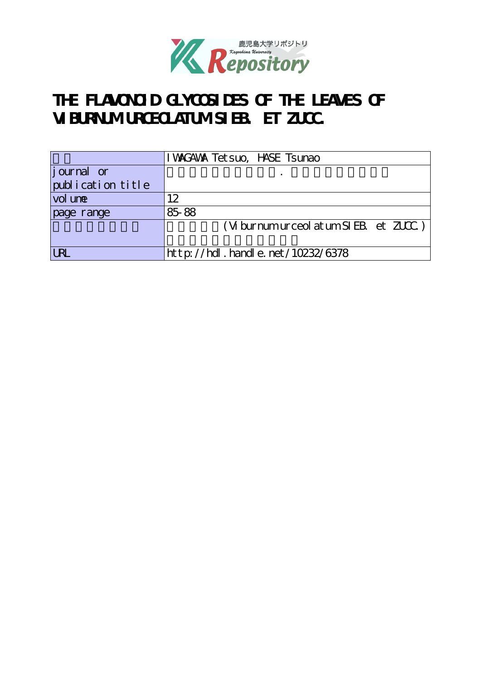

# **THE FLAVONOID GLYCOSIDES OF THE LEAVES OF VIBURNUM URCEOLATUM SIEB. ET ZUCC.**

|                   | I WAGAWA Tet suo, HASE Tsunao                                                                               |
|-------------------|-------------------------------------------------------------------------------------------------------------|
| journal or        |                                                                                                             |
| publication title |                                                                                                             |
| vol une           | 12                                                                                                          |
| page range        | 85-88                                                                                                       |
|                   | $(W \text{ burnum} \text{ur} \text{ceol} \text{ at } \text{um} \text{SIEB}_{1} \text{ et } \text{ZUC}_{1})$ |
|                   |                                                                                                             |
|                   | $http$ ://hdl. handle. net/10232/6378                                                                       |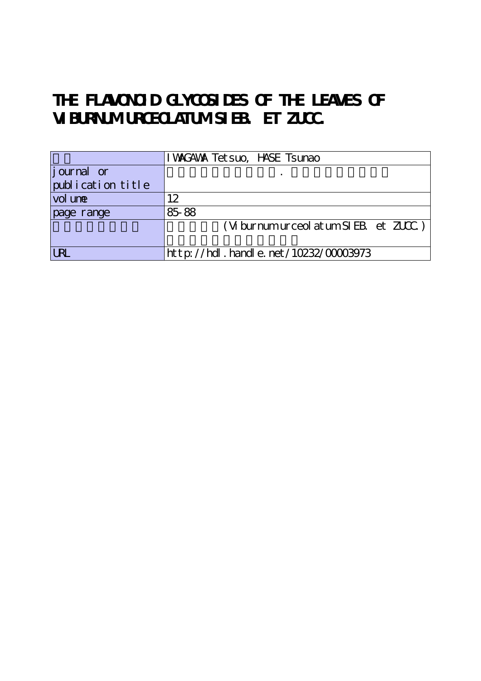# THE FLAVONOID GLYCOSIDES OF THE LEAVES OF **VIBURNUM URCEOLATUM SIEB. ET ZUCC.**

|                    | I WAGAWA Tet suo, HASE Tsunao                                                  |
|--------------------|--------------------------------------------------------------------------------|
| <i>j</i> ournal or |                                                                                |
| publication title  |                                                                                |
| vol une            | 12                                                                             |
| page range         | 85-88                                                                          |
|                    | $(W \text{ burnum} \text{ur} \text{ceol} \text{ at um SI EB} \text{ et ZUC} )$ |
|                    |                                                                                |
|                    | http://hdl.handle.net/10232/00003973                                           |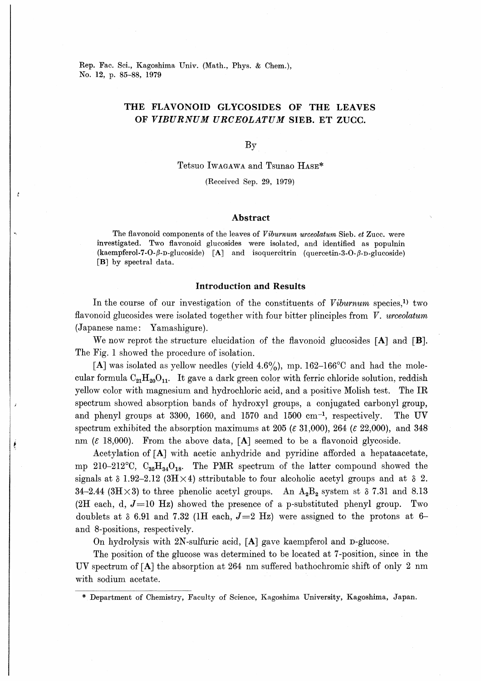Rep. Fac. Sci., Kagoshima Univ. (Math., Phys. & Chem.), No. 12, p. 85-88, 1979

### THE FLAVONOID GLYCOSIDES OF THE LEAVES OF VIBURNUM URCEOLATUM SIEB. ET ZUCC.

By

Tetsuo Iwagawa and Tsunao Hase\*

(Received Sep. 29, 1979)

#### Abstract

The flavonoid components of the leaves of *Viburnum urceolatum* Sieb. et Zucc. were investigated. Two flavonoid glucosides were isolated, and identified as populnin (kaempferol-7-0-β-D・glucoside) [A] and isoquercitrin (quercetin-3-0-β-D-glucoside) [B] by spectral data.

#### Introduction and Results

In the course of our investigation of the constituents of Viburnum species,<sup>1)</sup> two flavonoid glucosides were isolated together with four bitter plinciples from  $V$ . urceolatum (Japanese name: Yamashigure).

We now reprot the structure elucidation of the flavonoid glucosides  $[A]$  and  $[B]$ . The Fig. 1 showed the procedure of isolation.

[A] was isolated as yellow needles (yield  $4.6\%$ ), mp. 162–166<sup>o</sup>C and had the molecular formula  $C_{21}H_{20}O_{11}$ . It gave a dark green color with ferric chloride solution, reddish yellow color with magnesium and hydrochloric acid, and a positive Molish test. The IR spectrum showed absorption bands of hydroxyl groups, a conjugated carbonyl group, and phenyl groups at 3300, 1660, and 1570 and 1500 cm-1, respectively. The UV spectrum exhibited the absorption maximums at 205 ( $\varepsilon$  31,000), 264 ( $\varepsilon$  22,000), and 348 nm  $(\varepsilon \ 18,000)$ . From the above data, [A] seemed to be a flavonoid glycoside.

Acetylation of [A] with acetic anhydride and pyridine afforded a hepataacetate, mp 210-212<sup>o</sup>C,  $C_{35}H_{34}O_{18}$ . The PMR spectrum of the latter compound showed the signals at  $\delta$  1.92-2.12 (3H  $\times$  4) sttributable to four alcoholic acetyl groups and at  $\delta$  2. 34-2.44 (3H $\times$ 3) to three phenolic acetyl groups. An  $A_2B_2$  system st  $\delta$  7.31 and 8.13 (2H each, d,  $J=10$  Hz) showed the presence of a p-substituted phenyl group. Two doublets at  $\delta$  6.91 and 7.32 (1H each,  $J=2$  Hz) were assigned to the protons at 6and 8-positions, respectively.

On hydrolysis with 2N-sulfuric acid, [A] gave kaempferol and D-glucose.

The position of the glucose was determined to be located at 7-position, since in the UV spectrum of [A] the absorption at 264 nm suffered bathochromic shift of only 2 nm with sodium acetate.

<sup>\*</sup> Department of Chemistry, Faculty of Science, Kagoshima University, Kagoshima, Japan.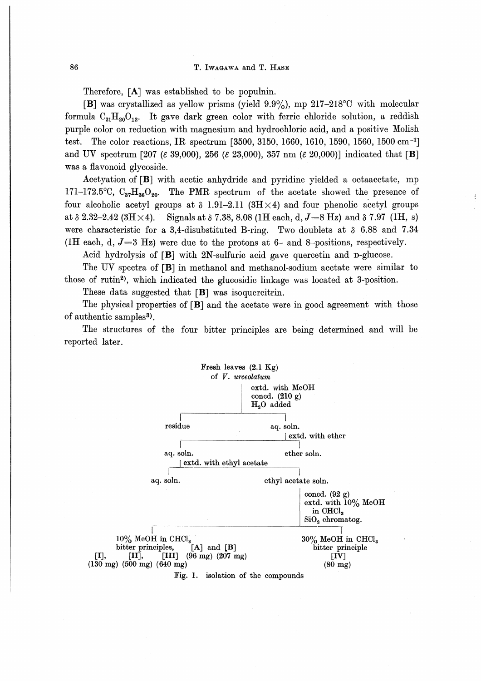Therefore, [A] was established to be populnin.

[B] was crystallized as yellow prisms (yield  $9.9\%$ ), mp 217-218°C with molecular formula  $C_{21}H_{20}O_{12}$ . It gave dark green color with ferric chloride solution, a reddish purple color on reduction with magnesium and hydrochloric acid, and a positive Molish test. The color reactions, IR spectrum [3500, 3150, 1660, 1610, 1590, 1560, 1500 cm<sup>-1</sup>] and UV spectrum [207 ( $\varepsilon$  39,000), 256 ( $\varepsilon$  23,000), 357 nm ( $\varepsilon$  20,000)] indicated that [B] was a flavonoid glycoside.

Acetyation of [B] with acetic anhydride and pyridine yielded a octaacetate, mp  $171-172.5^{\circ}\text{C}$ ,  $\text{C}_{37}\text{H}_{36}\text{O}_{90}$ . The PMR spectrum of the acetate showed the presence of four alcoholic acetyl groups at  $\delta$  1.91-2.11 (3H $\times$ 4) and four phenolic acetyl groups at  $\delta$  2.32-2.42 (3H  $\times$  4). Signals at  $\delta$  7.38, 8.08 (1H each, d, J = 8 Hz) and  $\delta$  7.97 (1H, s) were characteristic for a 3,4-disubstituted B-ring. Two doublets at  $\delta$  6.88 and 7.34 (1H each, d,  $J=3$  Hz) were due to the protons at 6- and 8-positions, respectively.

Acid hydrolysis of  $[B]$  with 2N-sulfuric acid gave quercetin and  $D$ -glucose.

The UV spectra of [B] in methanol and methanol-sodium acetate were similar to those of rutin2), which indicated the glucosidic linkage was located at 3-position.

These data suggested that [B] was isoquercitrin.

The physical properties of  $[B]$  and the acetate were in good agreement with those of authentic samples<sup>3</sup>).

The structures of the four bitter principles are being determined and will be reported later.

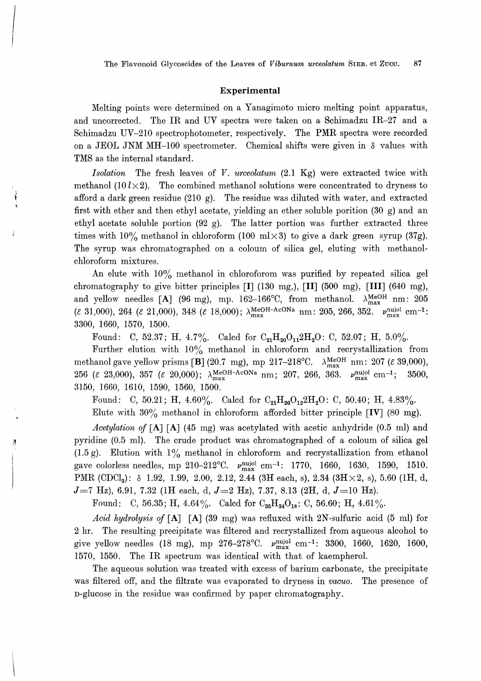The Flavonoid Glycoscides of the Leaves of Viburnum urceolatum SIEB. et Zucc. 87

### Experimental

ーイー - コードー

Melting points were determined on a Yanagimoto micro melting point apparatus. and uncorrected. The IR and UV spectra were taken on a Schimadzu IR-27 and a Schimadzu UV-210 spectrophotometer, respectively. The PMR spectra were recorded on a JEOL JNM MH-100 spectrometer. Chemical shifts were given in  $\delta$  values with TMS as the internal standard.

Isolation The fresh leaves of V. urceolatum  $(2.1 \text{ Kg})$  were extracted twice with methanol (10  $l \times 2$ ). The combined methanol solutions were concentrated to dryness to afford a dark green residue (210 g). The residue was diluted with water, and extracted first with ether and then ethyl acetate, yielding an ether soluble porition (30 g) and an ethyl acetate soluble portion (92 g). The latter portion was further extracted three times with  $10\%$  methanol in chloroform (100 ml $\times$ 3) to give a dark green syrup (37g). The syrup was chromatographed on a coloum of silica gel, eluting with methanolchloroform mixtures.

An elute with  $10\%$  methanol in chloroforom was purified by repeated silica gel chromatography to give bitter principles [I] (130 mg,), [II] (500 mg), [III] (640 mg), and yellow needles [A] (96 mg), mp. 162-166°C, from methanol.  $\lambda_{\text{max}}^{\text{MeOH}}$  nm: 205 ( $\epsilon$  31,000), 264 ( $\epsilon$  21,000), 348 ( $\epsilon$  18,000);  $\lambda_{\text{max}}^{\text{MeOH-AcONa}}$  nm: 205, 266, 352.  $\nu_{\text{max}}^{\text{nuol}}$  cm<sup>-1</sup>: 3300, 1660, 1570, 1500.

Found: C, 52.37; H, 4.7%. Calcd for  $C_{21}H_{20}O_{11}2H_2O$ : C, 52.07; H, 5.0%.

Further elution with  $10\%$  methanol in chloroform and recrystallization from methanol gave yellow prisms [B] (20.7 mg), mp 217-218°C.  $\lambda_{\text{max}}^{\text{MeOH}}$  nm: 207 ( $\varepsilon$  39,000), 256 ( $\epsilon$  23,000), 357 ( $\epsilon$  20,000);  $\lambda_{\text{max}}^{\text{MeOH-AcONa}}$  nm; 207, 266, 363.  $\nu_{\text{max}}^{\text{nuiol}}$  cm<sup>-1</sup>; 3500, 3150, 1660, 1610, 1590, 1560, 1500.

Found: C, 50.21; H, 4.60%. Calcd for  $C_{21}H_{20}O_{12}2H_2O$ : C, 50.40; H, 4.83%.

Elute with  $30\%$  methanol in chloroform afforded bitter principle [IV] (80 mg).

Acetylation of [A] [A] (45 mg) was acetylated with acetic anhydride (0.5 ml) and pyridine (0.5 ml). The crude product was chromatographed of a coloum of silica gel (1.5 g). Elution with  $1\%$  methanol in chloroform and recrystallization from ethanol gave colorless needles, mp 210-212°C.  $\nu_{\text{max}}^{\text{nujol}}$  cm<sup>-1</sup>: 1770, 1660, 1630, 1590, 1510. PMR (CDCl<sub>3</sub>):  $\delta$  1.92, 1.99, 2.00, 2.12, 2.44 (3H each, s), 2.34 (3H  $\times$ 2, s), 5.60 (1H, d,  $J=7$  Hz), 6.91, 7.32 (1H each, d,  $J=2$  Hz), 7.37, 8.13 (2H, d,  $J=10$  Hz).

Found: C, 56.35; H, 4.64%. Calcd for  $C_{35}H_{34}O_{18}$ : C, 56.60; H, 4.61%.

Acid hydrolysis of [A] [A] (39 mg) was refluxed with 2N-sulfuric acid (5 ml) for 2 hr. The resulting precipitate was filtered and recrystallized from aqueous alcohol to give yellow needles (18 mg), mp 276-278°C.  $\nu_{\text{max}}^{\text{nuiol}}$  cm<sup>-1</sup>: 3300, 1660, 1620, 1600, 1570, 1550. The IR spectrum was identical with that of kaempherol.

The aqueous solution was treated with excess of barium carbonate, the precipitate was filtered off, and the filtrate was evaporated to dryness in vacuo. The presence of D-glucose in the residue was confirmed by paper chromatography.